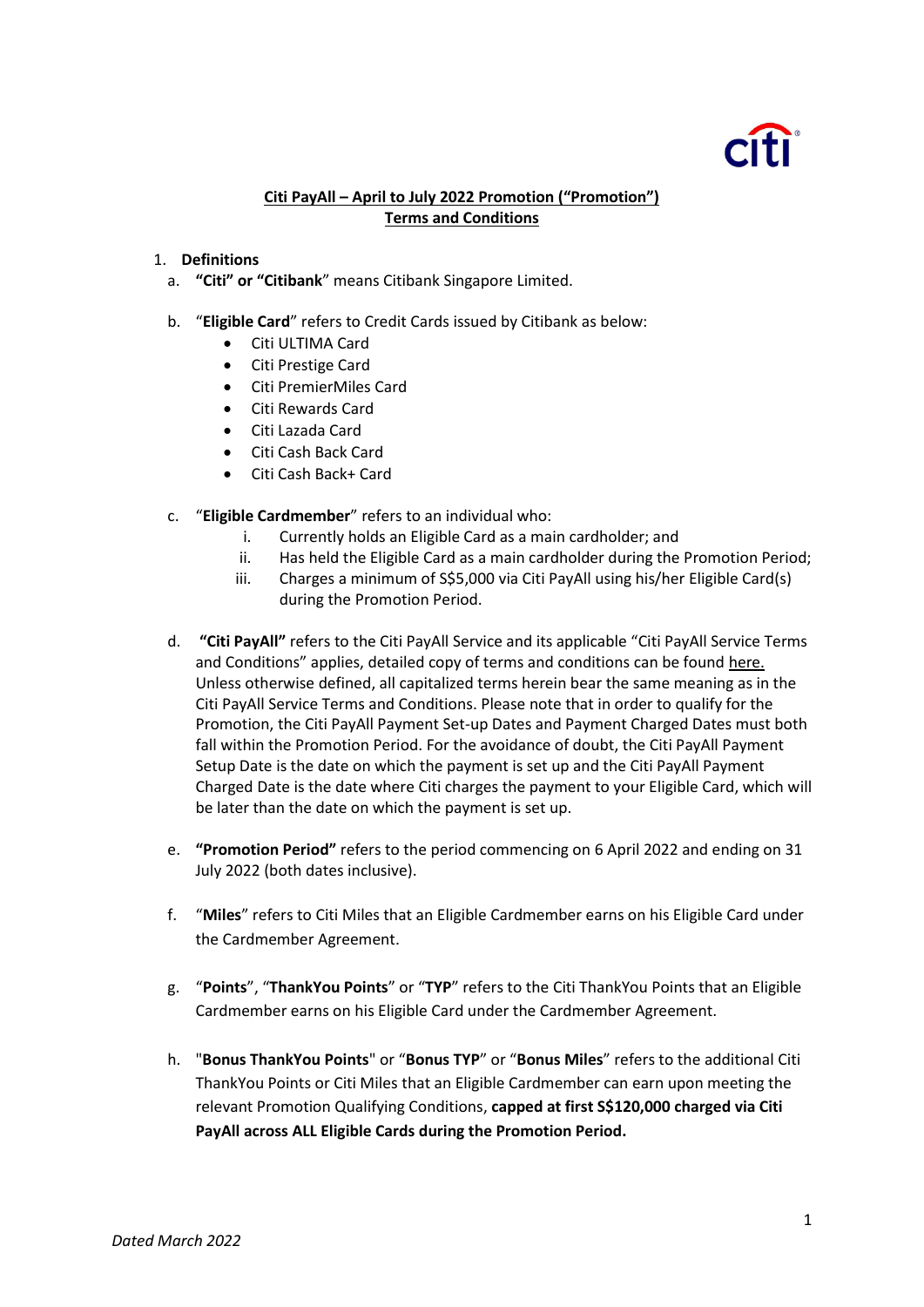# **Citi PayAll – April to July 2022 Promotion ("Promotion") Terms and Conditions**

### 1. **Definitions**

- a. **"Citi" or "Citibank**" means Citibank Singapore Limited.
- b. "**Eligible Card**" refers to Credit Cards issued by Citibank as below:
	- Citi ULTIMA Card
	- Citi Prestige Card
	- Citi PremierMiles Card
	- Citi Rewards Card
	- Citi Lazada Card
	- Citi Cash Back Card
	- Citi Cash Back+ Card
- c. "**Eligible Cardmember**" refers to an individual who:
	- i. Currently holds an Eligible Card as a main cardholder; and
	- ii. Has held the Eligible Card as a main cardholder during the Promotion Period;
	- iii. Charges a minimum of S\$5,000 via Citi PayAll using his/her Eligible Card(s) during the Promotion Period.
- d. **"Citi PayAll"** refers to the Citi PayAll Service and its applicable "Citi PayAll Service Terms and Conditions" applies, detailed copy of terms and conditions can be found [here.](https://www.citibank.com.sg/CAF/assets/doc/ace/GENERAL_POLICY_CONDITIONS.pdf) Unless otherwise defined, all capitalized terms herein bear the same meaning as in the Citi PayAll Service Terms and Conditions. Please note that in order to qualify for the Promotion, the Citi PayAll Payment Set-up Dates and Payment Charged Dates must both fall within the Promotion Period. For the avoidance of doubt, the Citi PayAll Payment Setup Date is the date on which the payment is set up and the Citi PayAll Payment Charged Date is the date where Citi charges the payment to your Eligible Card, which will be later than the date on which the payment is set up.
- e. **"Promotion Period"** refers to the period commencing on 6 April 2022 and ending on 31 July 2022 (both dates inclusive).
- f. "**Miles**" refers to Citi Miles that an Eligible Cardmember earns on his Eligible Card under the Cardmember Agreement.
- g. "**Points**", "**ThankYou Points**" or "**TYP**" refers to the Citi ThankYou Points that an Eligible Cardmember earns on his Eligible Card under the Cardmember Agreement.
- h. "**Bonus ThankYou Points**" or "**Bonus TYP**" or "**Bonus Miles**" refers to the additional Citi ThankYou Points or Citi Miles that an Eligible Cardmember can earn upon meeting the relevant Promotion Qualifying Conditions, **capped at first S\$120,000 charged via Citi PayAll across ALL Eligible Cards during the Promotion Period.**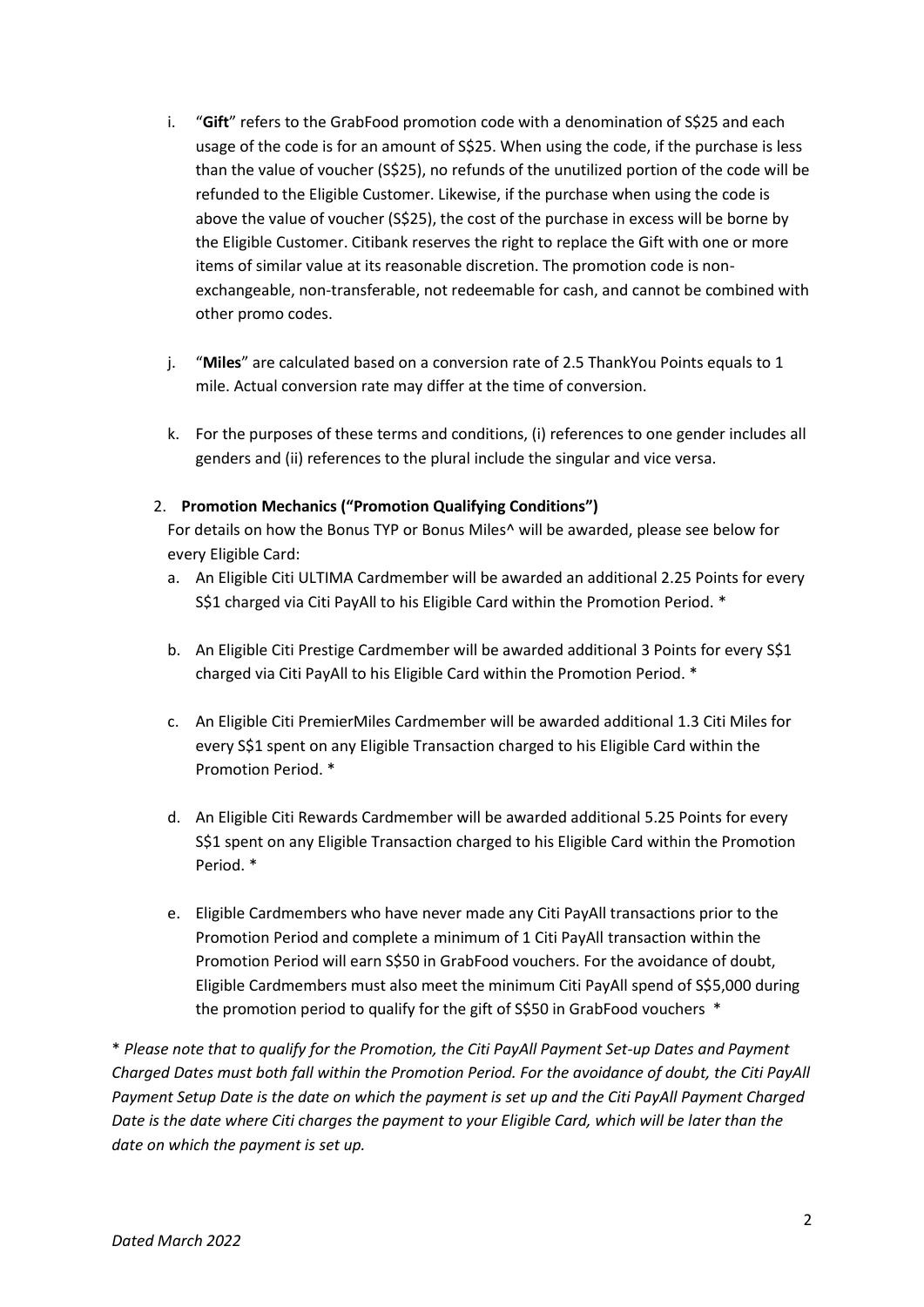- i. "Gift" refers to the GrabFood promotion code with a denomination of S\$25 and each usage of the code is for an amount of S\$25. When using the code, if the purchase is less than the value of voucher (S\$25), no refunds of the unutilized portion of the code will be refunded to the Eligible Customer. Likewise, if the purchase when using the code is above the value of voucher (S\$25), the cost of the purchase in excess will be borne by the Eligible Customer. Citibank reserves the right to replace the Gift with one or more items of similar value at its reasonable discretion. The promotion code is nonexchangeable, non-transferable, not redeemable for cash, and cannot be combined with other promo codes.
- j. "**Miles**" are calculated based on a conversion rate of 2.5 ThankYou Points equals to 1 mile. Actual conversion rate may differ at the time of conversion.
- k. For the purposes of these terms and conditions, (i) references to one gender includes all genders and (ii) references to the plural include the singular and vice versa.

# 2. **Promotion Mechanics ("Promotion Qualifying Conditions")**

For details on how the Bonus TYP or Bonus Miles^ will be awarded, please see below for every Eligible Card:

- a. An Eligible Citi ULTIMA Cardmember will be awarded an additional 2.25 Points for every S\$1 charged via Citi PayAll to his Eligible Card within the Promotion Period. \*
- b. An Eligible Citi Prestige Cardmember will be awarded additional 3 Points for every S\$1 charged via Citi PayAll to his Eligible Card within the Promotion Period. \*
- c. An Eligible Citi PremierMiles Cardmember will be awarded additional 1.3 Citi Miles for every S\$1 spent on any Eligible Transaction charged to his Eligible Card within the Promotion Period. \*
- d. An Eligible Citi Rewards Cardmember will be awarded additional 5.25 Points for every S\$1 spent on any Eligible Transaction charged to his Eligible Card within the Promotion Period. \*
- e. Eligible Cardmembers who have never made any Citi PayAll transactions prior to the Promotion Period and complete a minimum of 1 Citi PayAll transaction within the Promotion Period will earn S\$50 in GrabFood vouchers. For the avoidance of doubt, Eligible Cardmembers must also meet the minimum Citi PayAll spend of S\$5,000 during the promotion period to qualify for the gift of S\$50 in GrabFood vouchers \*

\* *Please note that to qualify for the Promotion, the Citi PayAll Payment Set-up Dates and Payment Charged Dates must both fall within the Promotion Period. For the avoidance of doubt, the Citi PayAll Payment Setup Date is the date on which the payment is set up and the Citi PayAll Payment Charged Date is the date where Citi charges the payment to your Eligible Card, which will be later than the date on which the payment is set up.*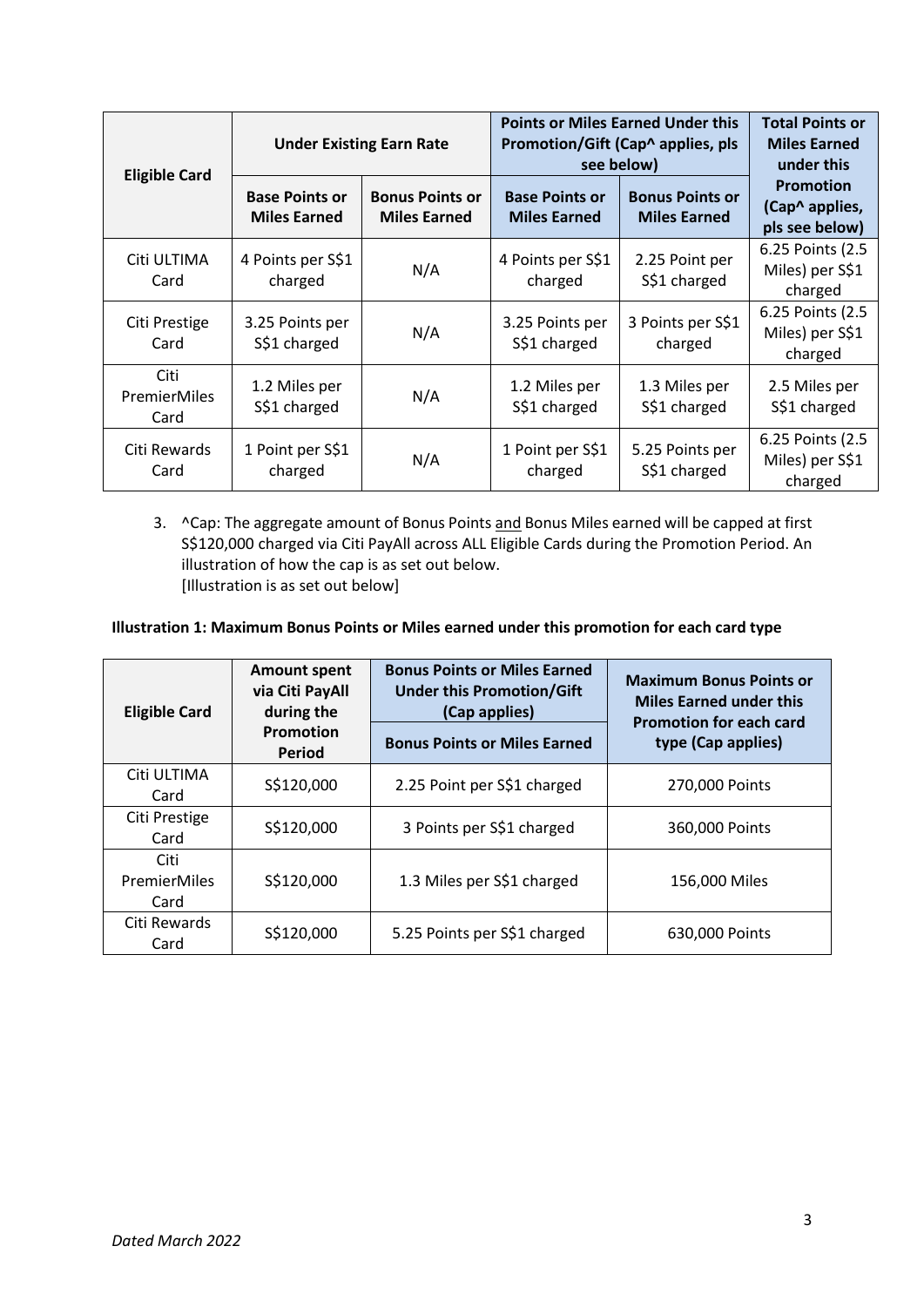| <b>Eligible Card</b>         | <b>Under Existing Earn Rate</b>              |                                               | <b>Points or Miles Earned Under this</b><br>Promotion/Gift (Cap^ applies, pls<br>see below) |                                               | <b>Total Points or</b><br><b>Miles Earned</b><br>under this |
|------------------------------|----------------------------------------------|-----------------------------------------------|---------------------------------------------------------------------------------------------|-----------------------------------------------|-------------------------------------------------------------|
|                              | <b>Base Points or</b><br><b>Miles Earned</b> | <b>Bonus Points or</b><br><b>Miles Earned</b> | <b>Base Points or</b><br><b>Miles Earned</b>                                                | <b>Bonus Points or</b><br><b>Miles Earned</b> | <b>Promotion</b><br>(Cap^ applies,<br>pls see below)        |
| Citi ULTIMA<br>Card          | 4 Points per S\$1<br>charged                 | N/A                                           | 4 Points per S\$1<br>charged                                                                | 2.25 Point per<br>S\$1 charged                | 6.25 Points (2.5<br>Miles) per S\$1<br>charged              |
| Citi Prestige<br>Card        | 3.25 Points per<br>S\$1 charged              | N/A                                           | 3.25 Points per<br>S\$1 charged                                                             | 3 Points per S\$1<br>charged                  | 6.25 Points (2.5)<br>Miles) per S\$1<br>charged             |
| Citi<br>PremierMiles<br>Card | 1.2 Miles per<br>S\$1 charged                | N/A                                           | 1.2 Miles per<br>S\$1 charged                                                               | 1.3 Miles per<br>S\$1 charged                 | 2.5 Miles per<br>S\$1 charged                               |
| Citi Rewards<br>Card         | 1 Point per S\$1<br>charged                  | N/A                                           | 1 Point per S\$1<br>charged                                                                 | 5.25 Points per<br>S\$1 charged               | 6.25 Points (2.5<br>Miles) per S\$1<br>charged              |

3. ^Cap: The aggregate amount of Bonus Points and Bonus Miles earned will be capped at first S\$120,000 charged via Citi PayAll across ALL Eligible Cards during the Promotion Period. An illustration of how the cap is as set out below. [Illustration is as set out below]

# **Illustration 1: Maximum Bonus Points or Miles earned under this promotion for each card type**

| <b>Eligible Card</b>         | <b>Amount spent</b><br>via Citi PayAll<br>during the<br><b>Promotion</b><br>Period | <b>Bonus Points or Miles Earned</b><br><b>Under this Promotion/Gift</b><br>(Cap applies)<br><b>Bonus Points or Miles Earned</b> | <b>Maximum Bonus Points or</b><br><b>Miles Earned under this</b><br><b>Promotion for each card</b><br>type (Cap applies) |
|------------------------------|------------------------------------------------------------------------------------|---------------------------------------------------------------------------------------------------------------------------------|--------------------------------------------------------------------------------------------------------------------------|
| Citi ULTIMA<br>Card          | S\$120,000                                                                         | 2.25 Point per S\$1 charged                                                                                                     | 270,000 Points                                                                                                           |
| Citi Prestige<br>Card        | S\$120,000                                                                         | 3 Points per S\$1 charged                                                                                                       | 360,000 Points                                                                                                           |
| Citi<br>PremierMiles<br>Card | S\$120,000                                                                         | 1.3 Miles per S\$1 charged                                                                                                      | 156,000 Miles                                                                                                            |
| Citi Rewards<br>Card         | S\$120,000                                                                         | 5.25 Points per S\$1 charged                                                                                                    | 630,000 Points                                                                                                           |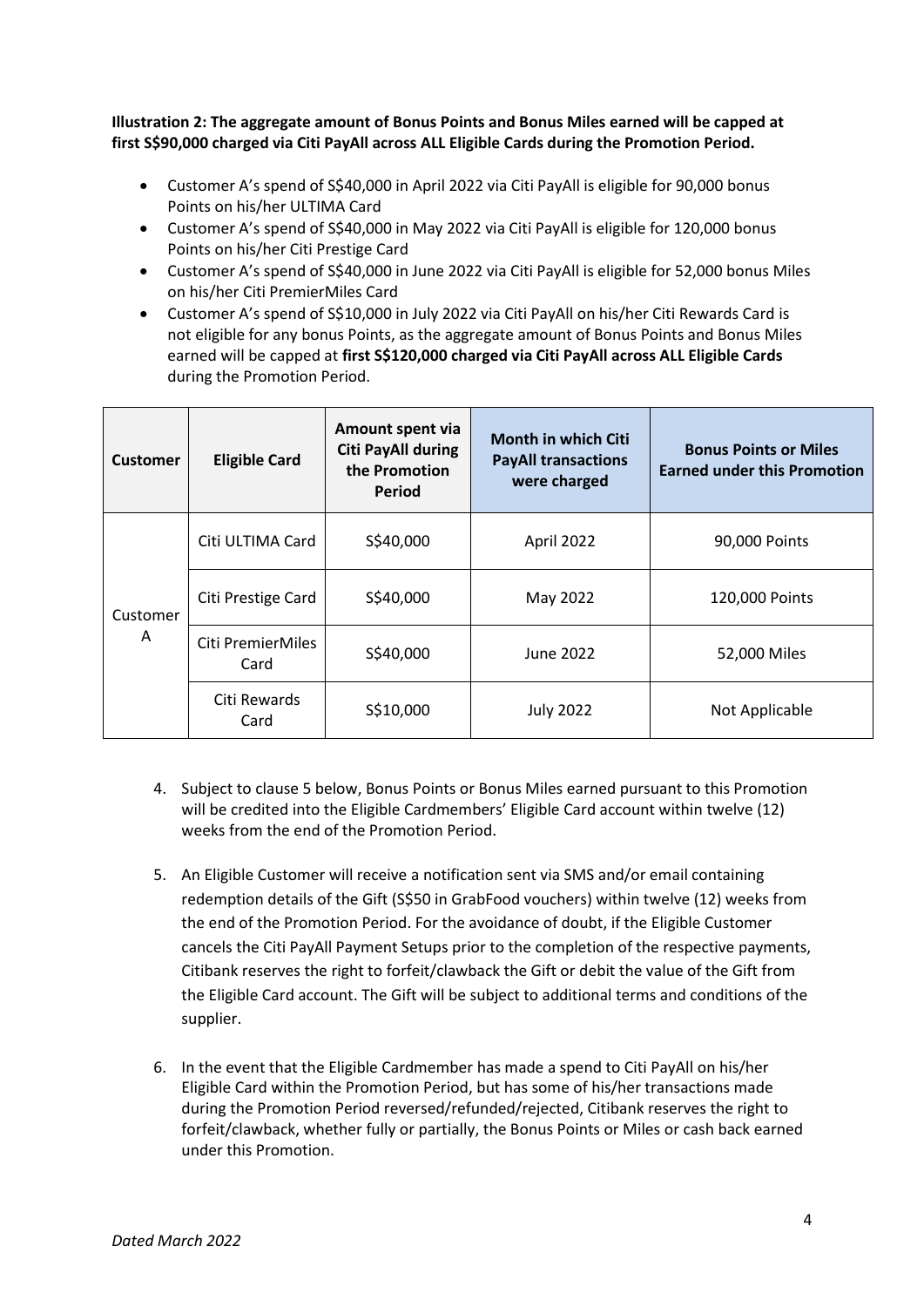**Illustration 2: The aggregate amount of Bonus Points and Bonus Miles earned will be capped at first S\$90,000 charged via Citi PayAll across ALL Eligible Cards during the Promotion Period.**

- Customer A's spend of S\$40,000 in April 2022 via Citi PayAll is eligible for 90,000 bonus Points on his/her ULTIMA Card
- Customer A's spend of S\$40,000 in May 2022 via Citi PayAll is eligible for 120,000 bonus Points on his/her Citi Prestige Card
- Customer A's spend of S\$40,000 in June 2022 via Citi PayAll is eligible for 52,000 bonus Miles on his/her Citi PremierMiles Card
- Customer A's spend of S\$10,000 in July 2022 via Citi PayAll on his/her Citi Rewards Card is not eligible for any bonus Points, as the aggregate amount of Bonus Points and Bonus Miles earned will be capped at **first S\$120,000 charged via Citi PayAll across ALL Eligible Cards** during the Promotion Period.

| <b>Customer</b> | <b>Eligible Card</b>                        | Amount spent via<br><b>Citi PayAll during</b><br>the Promotion<br>Period | <b>Month in which Citi</b><br><b>PayAll transactions</b><br>were charged | <b>Bonus Points or Miles</b><br><b>Earned under this Promotion</b> |
|-----------------|---------------------------------------------|--------------------------------------------------------------------------|--------------------------------------------------------------------------|--------------------------------------------------------------------|
| Customer<br>A   | S\$40,000<br>Citi ULTIMA Card<br>April 2022 |                                                                          |                                                                          | 90,000 Points                                                      |
|                 | Citi Prestige Card                          | S\$40,000                                                                | May 2022                                                                 | 120,000 Points                                                     |
|                 | Citi PremierMiles<br>Card                   | S\$40,000                                                                | June 2022                                                                | 52,000 Miles                                                       |
|                 | Citi Rewards<br>Card                        | S\$10,000<br><b>July 2022</b>                                            |                                                                          | Not Applicable                                                     |

- 4. Subject to clause 5 below, Bonus Points or Bonus Miles earned pursuant to this Promotion will be credited into the Eligible Cardmembers' Eligible Card account within twelve (12) weeks from the end of the Promotion Period.
- 5. An Eligible Customer will receive a notification sent via SMS and/or email containing redemption details of the Gift (S\$50 in GrabFood vouchers) within twelve (12) weeks from the end of the Promotion Period. For the avoidance of doubt, if the Eligible Customer cancels the Citi PayAll Payment Setups prior to the completion of the respective payments, Citibank reserves the right to forfeit/clawback the Gift or debit the value of the Gift from the Eligible Card account. The Gift will be subject to additional terms and conditions of the supplier.
- 6. In the event that the Eligible Cardmember has made a spend to Citi PayAll on his/her Eligible Card within the Promotion Period, but has some of his/her transactions made during the Promotion Period reversed/refunded/rejected, Citibank reserves the right to forfeit/clawback, whether fully or partially, the Bonus Points or Miles or cash back earned under this Promotion.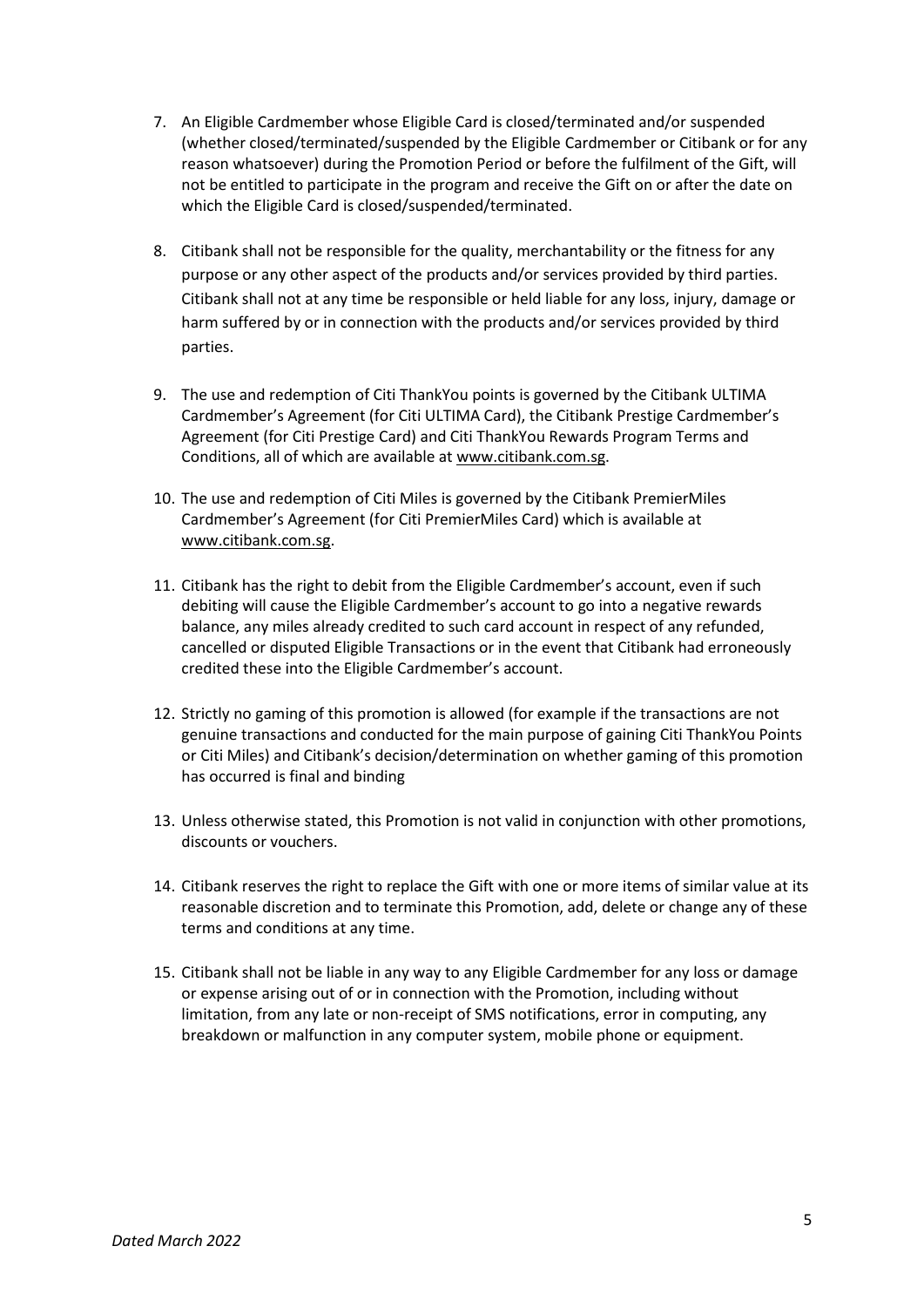- 7. An Eligible Cardmember whose Eligible Card is closed/terminated and/or suspended (whether closed/terminated/suspended by the Eligible Cardmember or Citibank or for any reason whatsoever) during the Promotion Period or before the fulfilment of the Gift, will not be entitled to participate in the program and receive the Gift on or after the date on which the Eligible Card is closed/suspended/terminated.
- 8. Citibank shall not be responsible for the quality, merchantability or the fitness for any purpose or any other aspect of the products and/or services provided by third parties. Citibank shall not at any time be responsible or held liable for any loss, injury, damage or harm suffered by or in connection with the products and/or services provided by third parties.
- 9. The use and redemption of Citi ThankYou points is governed by the Citibank ULTIMA Cardmember's Agreement (for Citi ULTIMA Card), the Citibank Prestige Cardmember's Agreement (for Citi Prestige Card) and Citi ThankYou Rewards Program Terms and Conditions, all of which are available at [www.citibank.com.sg.](http://www.citibank.com.sg/)
- 10. The use and redemption of Citi Miles is governed by the Citibank PremierMiles Cardmember's Agreement (for Citi PremierMiles Card) which is available at [www.citibank.com.sg.](http://www.citibank.com.sg/)
- 11. Citibank has the right to debit from the Eligible Cardmember's account, even if such debiting will cause the Eligible Cardmember's account to go into a negative rewards balance, any miles already credited to such card account in respect of any refunded, cancelled or disputed Eligible Transactions or in the event that Citibank had erroneously credited these into the Eligible Cardmember's account.
- 12. Strictly no gaming of this promotion is allowed (for example if the transactions are not genuine transactions and conducted for the main purpose of gaining Citi ThankYou Points or Citi Miles) and Citibank's decision/determination on whether gaming of this promotion has occurred is final and binding
- 13. Unless otherwise stated, this Promotion is not valid in conjunction with other promotions, discounts or vouchers.
- 14. Citibank reserves the right to replace the Gift with one or more items of similar value at its reasonable discretion and to terminate this Promotion, add, delete or change any of these terms and conditions at any time.
- 15. Citibank shall not be liable in any way to any Eligible Cardmember for any loss or damage or expense arising out of or in connection with the Promotion, including without limitation, from any late or non-receipt of SMS notifications, error in computing, any breakdown or malfunction in any computer system, mobile phone or equipment.